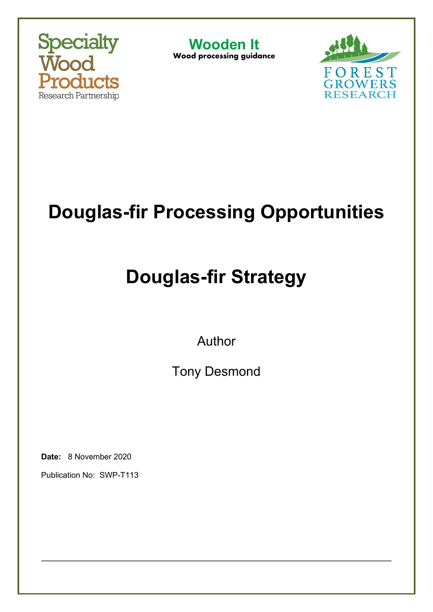

**Wooden It** Wood processing guidance



# **Douglas-fir Processing Opportunities**

# **Douglas-fir Strategy**

Author

Tony Desmond

**Date:** 8 November 2020

Publication No: SWP-T113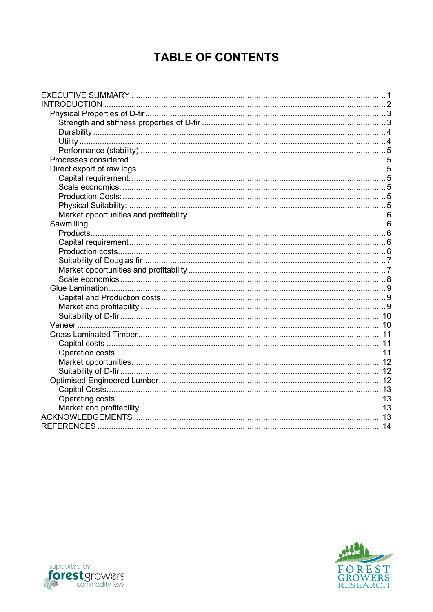# **TABLE OF CONTENTS**

| <b>INTRODUCTION</b> |  |
|---------------------|--|
|                     |  |
|                     |  |
|                     |  |
|                     |  |
|                     |  |
|                     |  |
|                     |  |
|                     |  |
|                     |  |
|                     |  |
|                     |  |
|                     |  |
|                     |  |
|                     |  |
|                     |  |
|                     |  |
|                     |  |
|                     |  |
|                     |  |
|                     |  |
|                     |  |
|                     |  |
|                     |  |
|                     |  |
|                     |  |
|                     |  |
|                     |  |
|                     |  |
|                     |  |
|                     |  |
|                     |  |
|                     |  |
|                     |  |
|                     |  |
|                     |  |
|                     |  |



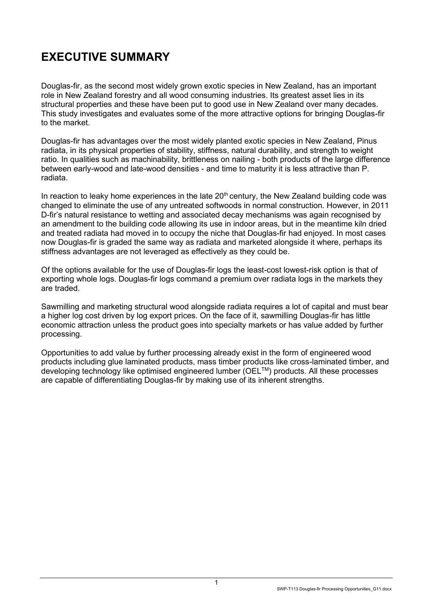# <span id="page-2-0"></span>**EXECUTIVE SUMMARY**

Douglas-fir, as the second most widely grown exotic species in New Zealand, has an important role in New Zealand forestry and all wood consuming industries. Its greatest asset lies in its structural properties and these have been put to good use in New Zealand over many decades. This study investigates and evaluates some of the more attractive options for bringing Douglas-fir to the market.

Douglas-fir has advantages over the most widely planted exotic species in New Zealand, Pinus radiata, in its physical properties of stability, stiffness, natural durability, and strength to weight ratio. In qualities such as machinability, brittleness on nailing - both products of the large difference between early-wood and late-wood densities - and time to maturity it is less attractive than P. radiata.

In reaction to leaky home experiences in the late  $20<sup>th</sup>$  century, the New Zealand building code was changed to eliminate the use of any untreated softwoods in normal construction. However, in 2011 D-fir's natural resistance to wetting and associated decay mechanisms was again recognised by an amendment to the building code allowing its use in indoor areas, but in the meantime kiln dried and treated radiata had moved in to occupy the niche that Douglas-fir had enjoyed. In most cases now Douglas-fir is graded the same way as radiata and marketed alongside it where, perhaps its stiffness advantages are not leveraged as effectively as they could be.

Of the options available for the use of Douglas-fir logs the least-cost lowest-risk option is that of exporting whole logs. Douglas-fir logs command a premium over radiata logs in the markets they are traded.

Sawmilling and marketing structural wood alongside radiata requires a lot of capital and must bear a higher log cost driven by log export prices. On the face of it, sawmilling Douglas-fir has little economic attraction unless the product goes into specialty markets or has value added by further processing.

Opportunities to add value by further processing already exist in the form of engineered wood products including glue laminated products, mass timber products like cross-laminated timber, and developing technology like optimised engineered lumber (OEL™) products. All these processes are capable of differentiating Douglas-fir by making use of its inherent strengths.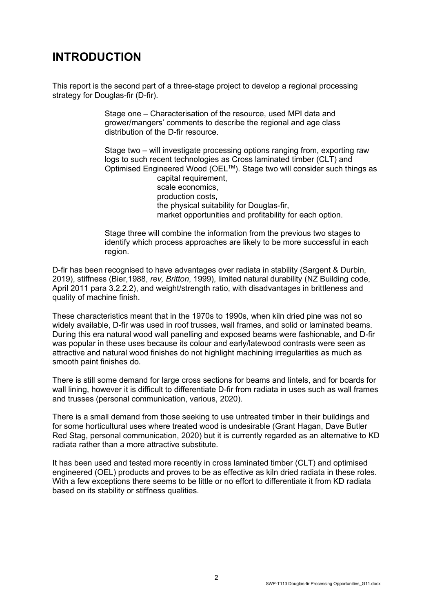# <span id="page-3-0"></span>**INTRODUCTION**

This report is the second part of a three-stage project to develop a regional processing strategy for Douglas-fir (D-fir).

> Stage one – Characterisation of the resource, used MPI data and grower/mangers' comments to describe the regional and age class distribution of the D-fir resource.

Stage two – will investigate processing options ranging from, exporting raw logs to such recent technologies as Cross laminated timber (CLT) and Optimised Engineered Wood (OEL™). Stage two will consider such things as

capital requirement, scale economics, production costs, the physical suitability for Douglas-fir, market opportunities and profitability for each option.

Stage three will combine the information from the previous two stages to identify which process approaches are likely to be more successful in each region.

D-fir has been recognised to have advantages over radiata in stability (Sargent & Durbin, 2019), stiffness (Bier,1988, *rev, Britton*, 1999), limited natural durability (NZ Building code, April 2011 para 3.2.2.2), and weight/strength ratio, with disadvantages in brittleness and quality of machine finish.

These characteristics meant that in the 1970s to 1990s, when kiln dried pine was not so widely available, D-fir was used in roof trusses, wall frames, and solid or laminated beams. During this era natural wood wall panelling and exposed beams were fashionable, and D-fir was popular in these uses because its colour and early/latewood contrasts were seen as attractive and natural wood finishes do not highlight machining irregularities as much as smooth paint finishes do.

There is still some demand for large cross sections for beams and lintels, and for boards for wall lining, however it is difficult to differentiate D-fir from radiata in uses such as wall frames and trusses (personal communication, various, 2020).

There is a small demand from those seeking to use untreated timber in their buildings and for some horticultural uses where treated wood is undesirable (Grant Hagan, Dave Butler Red Stag, personal communication, 2020) but it is currently regarded as an alternative to KD radiata rather than a more attractive substitute.

It has been used and tested more recently in cross laminated timber (CLT) and optimised engineered (OEL) products and proves to be as effective as kiln dried radiata in these roles. With a few exceptions there seems to be little or no effort to differentiate it from KD radiata based on its stability or stiffness qualities.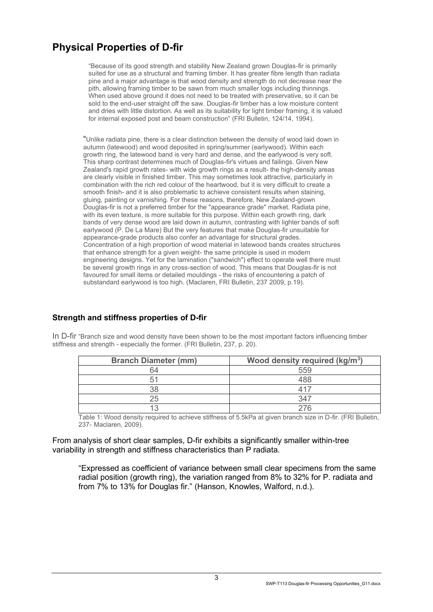# <span id="page-4-0"></span>**Physical Properties of D-fir**

"Because of its good strength and stability New Zealand grown Douglas-fir is primarily suited for use as a structural and framing timber. It has greater fibre length than radiata pine and a major advantage is that wood density and strength do not decrease near the pith, allowing framing timber to be sawn from much smaller logs including thinnings. When used above ground it does not need to be treated with preservative, so it can be sold to the end-user straight off the saw. Douglas-fir timber has a low moisture content and dries with little distortion. As well as its suitability for light timber framing, it is valued for internal exposed post and beam construction" (FRI Bulletin, 124/14, 1994).

"Unlike radiata pine, there is a clear distinction between the density of wood laid down in autumn (latewood) and wood deposited in spring/summer (earlywood). Within each growth ring, the latewood band is very hard and dense, and the earlywood is very soft. This sharp contrast determines much of Douglas-fir's virtues and failings. Given New Zealand's rapid growth rates- with wide growth rings as a result- the high-density areas are clearly visible in finished timber. This may sometimes look attractive, particularly in combination with the rich red colour of the heartwood, but it is very difficult to create a smooth finish- and it is also problematic to achieve consistent results when staining, gluing, painting or varnishing. For these reasons, therefore, New Zealand-grown Douglas-fir is not a preferred timber for the "appearance grade" market. Radiata pine, with its even texture, is more suitable for this purpose. Within each growth ring, dark bands of very dense wood are laid down in autumn, contrasting with lighter bands of soft earlywood (P. De La Mare) But the very features that make Douglas-fir unsuitable for appearance-grade products also confer an advantage for structural grades. Concentration of a high proportion of wood material in latewood bands creates structures that enhance strength for a given weight- the same principle is used in modern engineering designs. Yet for the lamination ("sandwich") effect to operate well there must be several growth rings in any cross-section of wood. This means that Douglas-fir is not favoured for small items or detailed mouldings - the risks of encountering a patch of substandard earlywood is too high. (Maclaren, FRI Bulletin, 237 2009, p.19).

#### <span id="page-4-1"></span>**Strength and stiffness properties of D-fir**

In D-fir "Branch size and wood density have been shown to be the most important factors influencing timber stiffness and strength - especially the former. (FRI Bulletin, 237, p. 20).

| <b>Branch Diameter (mm)</b> | Wood density required ( $kg/m3$ ) |
|-----------------------------|-----------------------------------|
| 64                          |                                   |
|                             |                                   |
|                             |                                   |
| 25                          |                                   |
| 1 ว                         |                                   |

Table 1: Wood density required to achieve stiffness of 5.5kPa at given branch size in D-fir. (FRI Bulletin, 237- Maclaren, 2009).

#### From analysis of short clear samples, D-fir exhibits a significantly smaller within-tree variability in strength and stiffness characteristics than P radiata.

"Expressed as coefficient of variance between small clear specimens from the same radial position (growth ring), the variation ranged from 8% to 32% for P. radiata and from 7% to 13% for Douglas fir." (Hanson, Knowles, Walford, n.d.).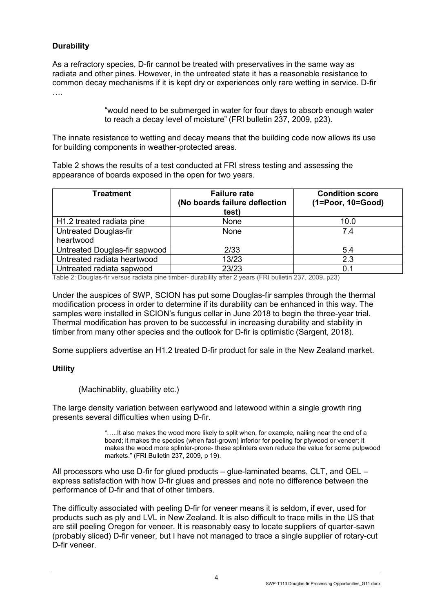#### <span id="page-5-0"></span>**Durability**

As a refractory species, D-fir cannot be treated with preservatives in the same way as radiata and other pines. However, in the untreated state it has a reasonable resistance to common decay mechanisms if it is kept dry or experiences only rare wetting in service. D-fir ….

> "would need to be submerged in water for four days to absorb enough water to reach a decay level of moisture" (FRI bulletin 237, 2009, p23).

The innate resistance to wetting and decay means that the building code now allows its use for building components in weather-protected areas.

Table 2 shows the results of a test conducted at FRI stress testing and assessing the appearance of boards exposed in the open for two years.

| <b>Treatment</b>              | <b>Failure rate</b><br>(No boards failure deflection<br>test) | <b>Condition score</b><br>$(1 = Poor, 10 = Good)$ |
|-------------------------------|---------------------------------------------------------------|---------------------------------------------------|
| H1.2 treated radiata pine     | None                                                          | 10.0                                              |
| Untreated Douglas-fir         | None                                                          | 7.4                                               |
| heartwood                     |                                                               |                                                   |
| Untreated Douglas-fir sapwood | 2/33                                                          | 5.4                                               |
| Untreated radiata heartwood   | 13/23                                                         | 2.3                                               |
| Untreated radiata sapwood     | 23/23                                                         | 0.1                                               |

Table 2: Douglas-fir versus radiata pine timber- durability after 2 years (FRI bulletin 237, 2009, p23)

Under the auspices of SWP, SCION has put some Douglas-fir samples through the thermal modification process in order to determine if its durability can be enhanced in this way. The samples were installed in SCION's fungus cellar in June 2018 to begin the three-year trial. Thermal modification has proven to be successful in increasing durability and stability in timber from many other species and the outlook for D-fir is optimistic (Sargent, 2018).

Some suppliers advertise an H1.2 treated D-fir product for sale in the New Zealand market.

#### <span id="page-5-1"></span>**Utility**

(Machinablity, gluability etc.)

The large density variation between earlywood and latewood within a single growth ring presents several difficulties when using D-fir.

> "…..It also makes the wood more likely to split when, for example, nailing near the end of a board; it makes the species (when fast-grown) inferior for peeling for plywood or veneer; it makes the wood more splinter-prone- these splinters even reduce the value for some pulpwood markets." (FRI Bulletin 237, 2009, p 19).

All processors who use D-fir for glued products – glue-laminated beams, CLT, and OEL – express satisfaction with how D-fir glues and presses and note no difference between the performance of D-fir and that of other timbers.

The difficulty associated with peeling D-fir for veneer means it is seldom, if ever, used for products such as ply and LVL in New Zealand. It is also difficult to trace mills in the US that are still peeling Oregon for veneer. It is reasonably easy to locate suppliers of quarter-sawn (probably sliced) D-fir veneer, but I have not managed to trace a single supplier of rotary-cut D-fir veneer.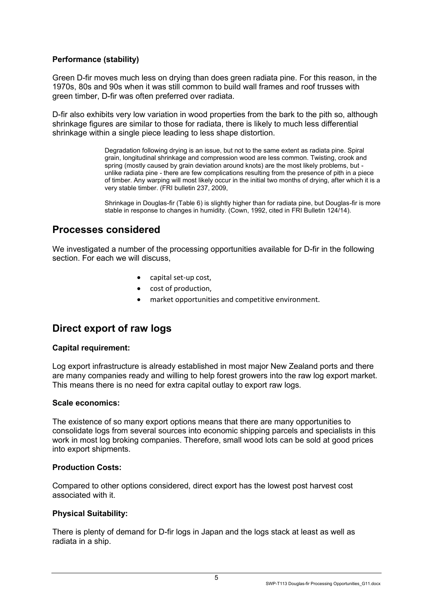#### <span id="page-6-0"></span>**Performance (stability)**

Green D-fir moves much less on drying than does green radiata pine. For this reason, in the 1970s, 80s and 90s when it was still common to build wall frames and roof trusses with green timber, D-fir was often preferred over radiata.

D-fir also exhibits very low variation in wood properties from the bark to the pith so, although shrinkage figures are similar to those for radiata, there is likely to much less differential shrinkage within a single piece leading to less shape distortion.

> Degradation following drying is an issue, but not to the same extent as radiata pine. Spiral grain, longitudinal shrinkage and compression wood are less common. Twisting, crook and spring (mostly caused by grain deviation around knots) are the most likely problems, but unlike radiata pine - there are few complications resulting from the presence of pith in a piece of timber. Any warping will most likely occur in the initial two months of drying, after which it is a very stable timber. (FRI bulletin 237, 2009,

> Shrinkage in Douglas-fir (Table 6) is slightly higher than for radiata pine, but Douglas-fir is more stable in response to changes in humidity. (Cown, 1992, cited in FRI Bulletin 124/14).

## <span id="page-6-1"></span>**Processes considered**

We investigated a number of the processing opportunities available for D-fir in the following section. For each we will discuss,

- capital set-up cost,
- cost of production,
- market opportunities and competitive environment.

### <span id="page-6-2"></span>**Direct export of raw logs**

#### <span id="page-6-3"></span>**Capital requirement:**

Log export infrastructure is already established in most major New Zealand ports and there are many companies ready and willing to help forest growers into the raw log export market. This means there is no need for extra capital outlay to export raw logs.

#### <span id="page-6-4"></span>**Scale economics:**

The existence of so many export options means that there are many opportunities to consolidate logs from several sources into economic shipping parcels and specialists in this work in most log broking companies. Therefore, small wood lots can be sold at good prices into export shipments.

#### <span id="page-6-5"></span>**Production Costs:**

Compared to other options considered, direct export has the lowest post harvest cost associated with it.

#### <span id="page-6-6"></span>**Physical Suitability:**

There is plenty of demand for D-fir logs in Japan and the logs stack at least as well as radiata in a ship.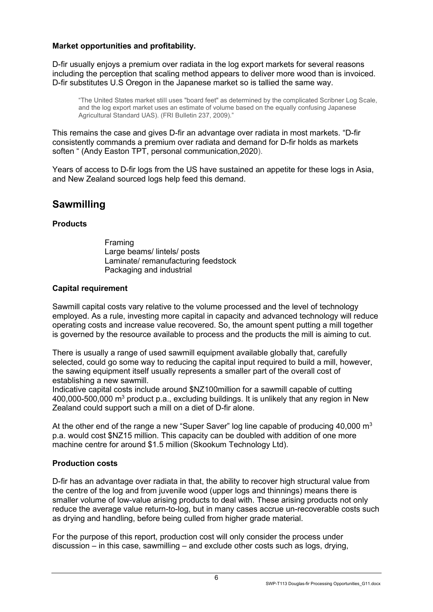#### <span id="page-7-0"></span>**Market opportunities and profitability.**

D-fir usually enjoys a premium over radiata in the log export markets for several reasons including the perception that scaling method appears to deliver more wood than is invoiced. D-fir substitutes U.S Oregon in the Japanese market so is tallied the same way.

"The United States market stiII uses "board feet" as determined by the complicated Scribner Log Scale, and the log export market uses an estimate of volume based on the equally confusing Japanese Agricultural Standard UAS). (FRI Bulletin 237, 2009)."

This remains the case and gives D-fir an advantage over radiata in most markets. "D-fir consistently commands a premium over radiata and demand for D-fir holds as markets soften " (Andy Easton TPT, personal communication,2020).

Years of access to D-fir logs from the US have sustained an appetite for these logs in Asia, and New Zealand sourced logs help feed this demand.

## <span id="page-7-1"></span>**Sawmilling**

#### <span id="page-7-2"></span>**Products**

Framing Large beams/ lintels/ posts Laminate/ remanufacturing feedstock Packaging and industrial

#### <span id="page-7-3"></span>**Capital requirement**

Sawmill capital costs vary relative to the volume processed and the level of technology employed. As a rule, investing more capital in capacity and advanced technology will reduce operating costs and increase value recovered. So, the amount spent putting a mill together is governed by the resource available to process and the products the mill is aiming to cut.

There is usually a range of used sawmill equipment available globally that, carefully selected, could go some way to reducing the capital input required to build a mill, however, the sawing equipment itself usually represents a smaller part of the overall cost of establishing a new sawmill.

Indicative capital costs include around \$NZ100million for a sawmill capable of cutting 400,000-500,000  $m<sup>3</sup>$  product p.a., excluding buildings. It is unlikely that any region in New Zealand could support such a mill on a diet of D-fir alone.

At the other end of the range a new "Super Saver" log line capable of producing 40,000  $\text{m}^3$ p.a. would cost \$NZ15 million. This capacity can be doubled with addition of one more machine centre for around \$1.5 million (Skookum Technology Ltd).

#### <span id="page-7-4"></span>**Production costs**

D-fir has an advantage over radiata in that, the ability to recover high structural value from the centre of the log and from juvenile wood (upper logs and thinnings) means there is smaller volume of low-value arising products to deal with. These arising products not only reduce the average value return-to-log, but in many cases accrue un-recoverable costs such as drying and handling, before being culled from higher grade material.

For the purpose of this report, production cost will only consider the process under discussion – in this case, sawmilling – and exclude other costs such as logs, drying,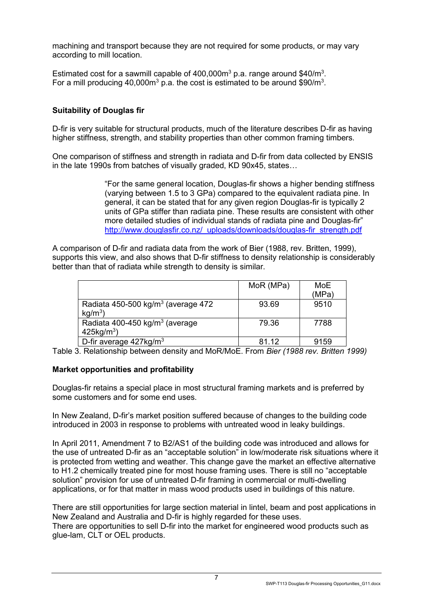machining and transport because they are not required for some products, or may vary according to mill location.

Estimated cost for a sawmill capable of  $400,000m^3$  p.a. range around \$40/m<sup>3</sup>. For a mill producing 40,000 $m<sup>3</sup>$  p.a. the cost is estimated to be around \$90/ $m<sup>3</sup>$ .

#### <span id="page-8-0"></span>**Suitability of Douglas fir**

D-fir is very suitable for structural products, much of the literature describes D-fir as having higher stiffness, strength, and stability properties than other common framing timbers.

One comparison of stiffness and strength in radiata and D-fir from data collected by ENSIS in the late 1990s from batches of visually graded, KD 90x45, states…

> "For the same general location, Douglas-fir shows a higher bending stiffness (varying between 1.5 to 3 GPa) compared to the equivalent radiata pine. In general, it can be stated that for any given region Douglas-fir is typically 2 units of GPa stiffer than radiata pine. These results are consistent with other more detailed studies of individual stands of radiata pine and Douglas-fir" [http://www.douglasfir.co.nz/\\_uploads/downloads/douglas-fir\\_strength.pdf](http://www.douglasfir.co.nz/_uploads/downloads/douglas-fir_strength.pdf)

A comparison of D-fir and radiata data from the work of Bier (1988, rev. Britten, 1999), supports this view, and also shows that D-fir stiffness to density relationship is considerably better than that of radiata while strength to density is similar.

|                                                                         | MoR (MPa) | MoE<br>(MPa) |
|-------------------------------------------------------------------------|-----------|--------------|
| Radiata 450-500 kg/m <sup>3</sup> (average 472)<br>$kg/m3$ )            | 93.69     | 9510         |
| Radiata 400-450 kg/m <sup>3</sup> (average<br>$425$ kg/m <sup>3</sup> ) | 79.36     | 7788         |
| D-fir average 427kg/m <sup>3</sup>                                      | 81 12     | 9159         |

Table 3. Relationship between density and MoR/MoE. From *Bier (1988 rev. Britten 1999)*

#### <span id="page-8-1"></span>**Market opportunities and profitability**

Douglas-fir retains a special place in most structural framing markets and is preferred by some customers and for some end uses.

In New Zealand, D-fir's market position suffered because of changes to the building code introduced in 2003 in response to problems with untreated wood in leaky buildings.

In April 2011, Amendment 7 to B2/AS1 of the building code was introduced and allows for the use of untreated D-fir as an "acceptable solution" in low/moderate risk situations where it is protected from wetting and weather. This change gave the market an effective alternative to H1.2 chemically treated pine for most house framing uses. There is still no "acceptable solution" provision for use of untreated D-fir framing in commercial or multi-dwelling applications, or for that matter in mass wood products used in buildings of this nature.

There are still opportunities for large section material in lintel, beam and post applications in New Zealand and Australia and D-fir is highly regarded for these uses. There are opportunities to sell D-fir into the market for engineered wood products such as glue-lam, CLT or OEL products.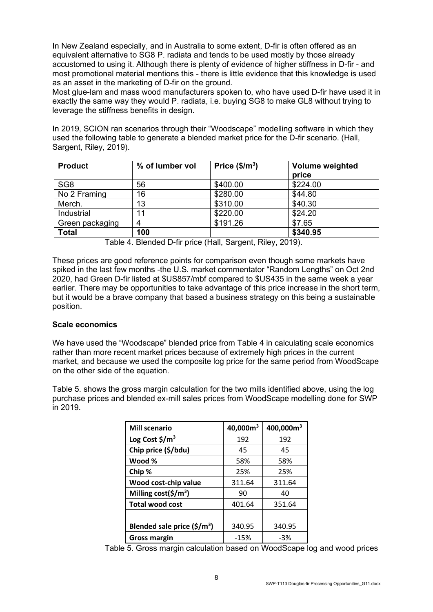In New Zealand especially, and in Australia to some extent, D-fir is often offered as an equivalent alternative to SG8 P. radiata and tends to be used mostly by those already accustomed to using it. Although there is plenty of evidence of higher stiffness in D-fir - and most promotional material mentions this - there is little evidence that this knowledge is used as an asset in the marketing of D-fir on the ground.

Most glue-lam and mass wood manufacturers spoken to, who have used D-fir have used it in exactly the same way they would P. radiata, i.e. buying SG8 to make GL8 without trying to leverage the stiffness benefits in design.

In 2019, SCION ran scenarios through their "Woodscape" modelling software in which they used the following table to generate a blended market price for the D-fir scenario. (Hall, Sargent, Riley, 2019).

| <b>Product</b>  | % of lumber vol | Price $($/m^3)$ | <b>Volume weighted</b><br>price |
|-----------------|-----------------|-----------------|---------------------------------|
| SG <sub>8</sub> | 56              | \$400.00        | \$224.00                        |
| No 2 Framing    | 16              | \$280.00        | \$44.80                         |
| Merch.          | 13              | \$310.00        | \$40.30                         |
| Industrial      | 11              | \$220.00        | \$24.20                         |
| Green packaging | 4               | \$191.26        | \$7.65                          |
| <b>Total</b>    | 100             |                 | \$340.95                        |

Table 4. Blended D-fir price (Hall, Sargent, Riley, 2019).

These prices are good reference points for comparison even though some markets have spiked in the last few months -the U.S. market commentator "Random Lengths" on Oct 2nd 2020, had Green D-fir listed at \$US857/mbf compared to \$US435 in the same week a year earlier. There may be opportunities to take advantage of this price increase in the short term, but it would be a brave company that based a business strategy on this being a sustainable position.

#### <span id="page-9-0"></span>**Scale economics**

We have used the "Woodscape" blended price from Table 4 in calculating scale economics rather than more recent market prices because of extremely high prices in the current market, and because we used the composite log price for the same period from WoodScape on the other side of the equation.

Table 5. shows the gross margin calculation for the two mills identified above, using the log purchase prices and blended ex-mill sales prices from WoodScape modelling done for SWP in 2019.

| <b>Mill scenario</b>                          | 40,000m <sup>3</sup> | 400,000m <sup>3</sup> |
|-----------------------------------------------|----------------------|-----------------------|
| Log Cost $\frac{\epsilon}{2}$ /m <sup>3</sup> | 192                  | 192                   |
| Chip price (\$/bdu)                           | 45                   | 45                    |
| Wood %                                        | 58%                  | 58%                   |
| Chip %                                        | 25%                  | 25%                   |
| Wood cost-chip value                          | 311.64               | 311.64                |
| Milling cost( $\frac{\xi}{m^3}$ )             | 90                   | 40                    |
| <b>Total wood cost</b>                        | 401.64               | 351.64                |
|                                               |                      |                       |
| Blended sale price $(\frac{\epsilon}{m^3})$   | 340.95               | 340.95                |
| <b>Gross margin</b>                           | $-15%$               | $-3%$                 |

Table 5. Gross margin calculation based on WoodScape log and wood prices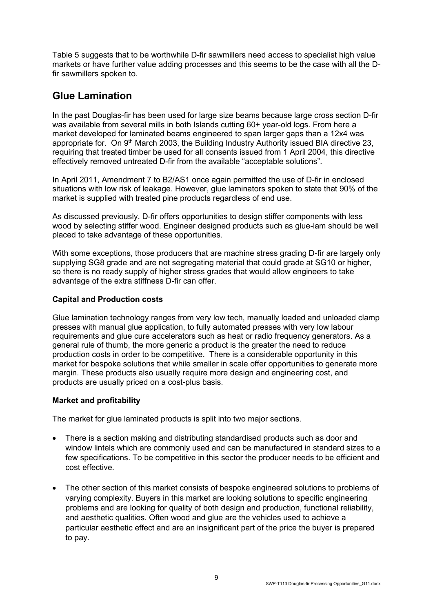Table 5 suggests that to be worthwhile D-fir sawmillers need access to specialist high value markets or have further value adding processes and this seems to be the case with all the Dfir sawmillers spoken to.

# <span id="page-10-0"></span>**Glue Lamination**

In the past Douglas-fir has been used for large size beams because large cross section D-fir was available from several mills in both Islands cutting 60+ year-old logs. From here a market developed for laminated beams engineered to span larger gaps than a 12x4 was appropriate for. On 9<sup>th</sup> March 2003, the Building Industry Authority issued BIA directive 23, requiring that treated timber be used for all consents issued from 1 April 2004, this directive effectively removed untreated D-fir from the available "acceptable solutions".

In April 2011, Amendment 7 to B2/AS1 once again permitted the use of D-fir in enclosed situations with low risk of leakage. However, glue laminators spoken to state that 90% of the market is supplied with treated pine products regardless of end use.

As discussed previously, D-fir offers opportunities to design stiffer components with less wood by selecting stiffer wood. Engineer designed products such as glue-lam should be well placed to take advantage of these opportunities.

With some exceptions, those producers that are machine stress grading D-fir are largely only supplying SG8 grade and are not segregating material that could grade at SG10 or higher, so there is no ready supply of higher stress grades that would allow engineers to take advantage of the extra stiffness D-fir can offer.

#### <span id="page-10-1"></span>**Capital and Production costs**

Glue lamination technology ranges from very low tech, manually loaded and unloaded clamp presses with manual glue application, to fully automated presses with very low labour requirements and glue cure accelerators such as heat or radio frequency generators. As a general rule of thumb, the more generic a product is the greater the need to reduce production costs in order to be competitive. There is a considerable opportunity in this market for bespoke solutions that while smaller in scale offer opportunities to generate more margin. These products also usually require more design and engineering cost, and products are usually priced on a cost-plus basis.

#### <span id="page-10-2"></span>**Market and profitability**

The market for glue laminated products is split into two major sections.

- There is a section making and distributing standardised products such as door and window lintels which are commonly used and can be manufactured in standard sizes to a few specifications. To be competitive in this sector the producer needs to be efficient and cost effective.
- The other section of this market consists of bespoke engineered solutions to problems of varying complexity. Buyers in this market are looking solutions to specific engineering problems and are looking for quality of both design and production, functional reliability, and aesthetic qualities. Often wood and glue are the vehicles used to achieve a particular aesthetic effect and are an insignificant part of the price the buyer is prepared to pay.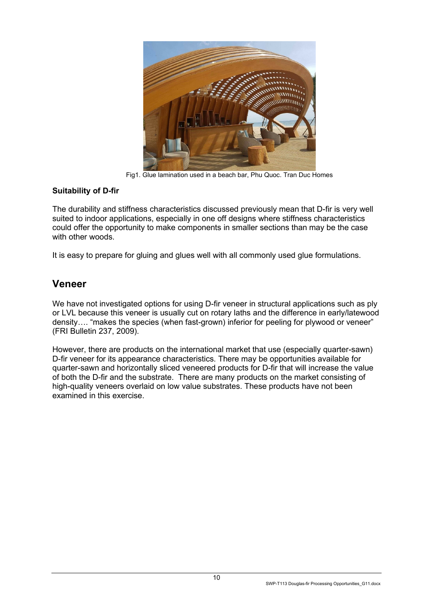

Fig1. Glue lamination used in a beach bar, Phu Quoc. Tran Duc Homes

#### <span id="page-11-0"></span>**Suitability of D-fir**

The durability and stiffness characteristics discussed previously mean that D-fir is very well suited to indoor applications, especially in one off designs where stiffness characteristics could offer the opportunity to make components in smaller sections than may be the case with other woods.

It is easy to prepare for gluing and glues well with all commonly used glue formulations.

### <span id="page-11-1"></span>**Veneer**

We have not investigated options for using D-fir veneer in structural applications such as ply or LVL because this veneer is usually cut on rotary laths and the difference in early/latewood density…. "makes the species (when fast-grown) inferior for peeling for plywood or veneer" (FRI Bulletin 237, 2009).

However, there are products on the international market that use (especially quarter-sawn) D-fir veneer for its appearance characteristics. There may be opportunities available for quarter-sawn and horizontally sliced veneered products for D-fir that will increase the value of both the D-fir and the substrate. There are many products on the market consisting of high-quality veneers overlaid on low value substrates. These products have not been examined in this exercise.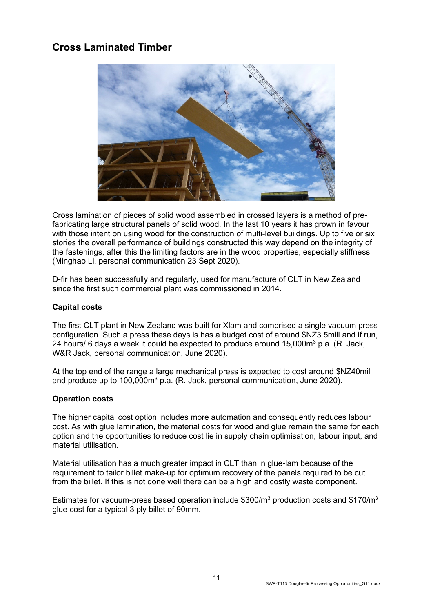# <span id="page-12-0"></span>**Cross Laminated Timber**



Cross lamination of pieces of solid wood assembled in crossed layers is a method of prefabricating large structural panels of solid wood. In the last 10 years it has grown in favour with those intent on using wood for the construction of multi-level buildings. Up to five or six stories the overall performance of buildings constructed this way depend on the integrity of the fastenings, after this the limiting factors are in the wood properties, especially stiffness. (Minghao Li, personal communication 23 Sept 2020).

D-fir has been successfully and regularly, used for manufacture of CLT in New Zealand since the first such commercial plant was commissioned in 2014.

#### <span id="page-12-1"></span>**Capital costs**

The first CLT plant in New Zealand was built for Xlam and comprised a single vacuum press configuration. Such a press these days is has a budget cost of around \$NZ3.5mill and if run, 24 hours/ 6 days a week it could be expected to produce around  $15,000m^3$  p.a. (R. Jack, W&R Jack, personal communication, June 2020).

At the top end of the range a large mechanical press is expected to cost around \$NZ40mill and produce up to 100,000m<sup>3</sup> p.a. (R. Jack, personal communication, June 2020).

#### <span id="page-12-2"></span>**Operation costs**

The higher capital cost option includes more automation and consequently reduces labour cost. As with glue lamination, the material costs for wood and glue remain the same for each option and the opportunities to reduce cost lie in supply chain optimisation, labour input, and material utilisation.

Material utilisation has a much greater impact in CLT than in glue-lam because of the requirement to tailor billet make-up for optimum recovery of the panels required to be cut from the billet. If this is not done well there can be a high and costly waste component.

Estimates for vacuum-press based operation include \$300/ $m<sup>3</sup>$  production costs and \$170/ $m<sup>3</sup>$ glue cost for a typical 3 ply billet of 90mm.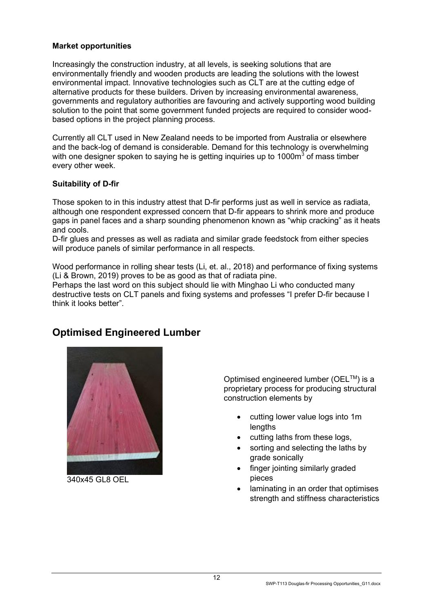#### <span id="page-13-0"></span>**Market opportunities**

Increasingly the construction industry, at all levels, is seeking solutions that are environmentally friendly and wooden products are leading the solutions with the lowest environmental impact. Innovative technologies such as CLT are at the cutting edge of alternative products for these builders. Driven by increasing environmental awareness, governments and regulatory authorities are favouring and actively supporting wood building solution to the point that some government funded projects are required to consider woodbased options in the project planning process.

Currently all CLT used in New Zealand needs to be imported from Australia or elsewhere and the back-log of demand is considerable. Demand for this technology is overwhelming with one designer spoken to saying he is getting inquiries up to  $1000m^3$  of mass timber every other week.

#### <span id="page-13-1"></span>**Suitability of D-fir**

Those spoken to in this industry attest that D-fir performs just as well in service as radiata, although one respondent expressed concern that D-fir appears to shrink more and produce gaps in panel faces and a sharp sounding phenomenon known as "whip cracking" as it heats and cools.

D-fir glues and presses as well as radiata and similar grade feedstock from either species will produce panels of similar performance in all respects.

Wood performance in rolling shear tests (Li, et. al., 2018) and performance of fixing systems (Li & Brown, 2019) proves to be as good as that of radiata pine.

Perhaps the last word on this subject should lie with Minghao Li who conducted many destructive tests on CLT panels and fixing systems and professes "I prefer D-fir because I think it looks better".



340x45 GL8 OEL

## <span id="page-13-2"></span>**Optimised Engineered Lumber**

Optimised engineered lumber (OEL™) is a proprietary process for producing structural construction elements by

- cutting lower value logs into 1m lengths
- cutting laths from these logs,
- sorting and selecting the laths by grade sonically
- finger jointing similarly graded pieces
- laminating in an order that optimises strength and stiffness characteristics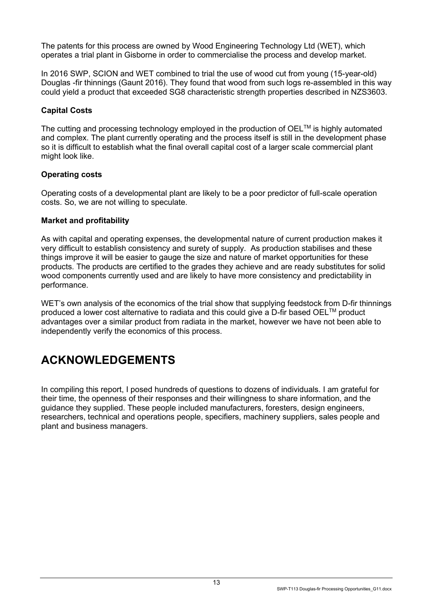The patents for this process are owned by Wood Engineering Technology Ltd (WET), which operates a trial plant in Gisborne in order to commercialise the process and develop market.

In 2016 SWP, SCION and WET combined to trial the use of wood cut from young (15-year-old) Douglas -fir thinnings (Gaunt 2016). They found that wood from such logs re-assembled in this way could yield a product that exceeded SG8 characteristic strength properties described in NZS3603.

#### <span id="page-14-0"></span>**Capital Costs**

The cutting and processing technology employed in the production of  $OEL^{TM}$  is highly automated and complex. The plant currently operating and the process itself is still in the development phase so it is difficult to establish what the final overall capital cost of a larger scale commercial plant might look like.

#### <span id="page-14-1"></span>**Operating costs**

Operating costs of a developmental plant are likely to be a poor predictor of full-scale operation costs. So, we are not willing to speculate.

#### <span id="page-14-2"></span>**Market and profitability**

As with capital and operating expenses, the developmental nature of current production makes it very difficult to establish consistency and surety of supply. As production stabilises and these things improve it will be easier to gauge the size and nature of market opportunities for these products. The products are certified to the grades they achieve and are ready substitutes for solid wood components currently used and are likely to have more consistency and predictability in performance.

WET's own analysis of the economics of the trial show that supplying feedstock from D-fir thinnings produced a lower cost alternative to radiata and this could give a D-fir based OEL™ product advantages over a similar product from radiata in the market, however we have not been able to independently verify the economics of this process.

# <span id="page-14-3"></span>**ACKNOWLEDGEMENTS**

In compiling this report, I posed hundreds of questions to dozens of individuals. I am grateful for their time, the openness of their responses and their willingness to share information, and the guidance they supplied. These people included manufacturers, foresters, design engineers, researchers, technical and operations people, specifiers, machinery suppliers, sales people and plant and business managers.